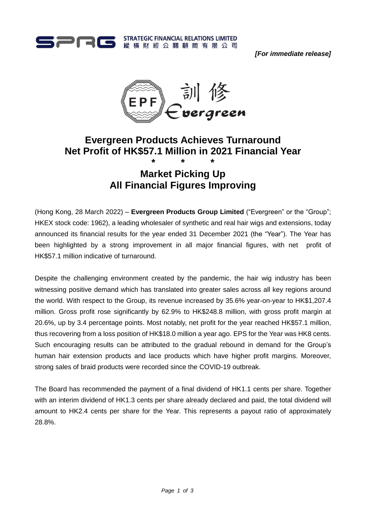

*[For immediate release]*



# **Evergreen Products Achieves Turnaround Net Profit of HK\$57.1 Million in 2021 Financial Year**

## **\* \* \* Market Picking Up All Financial Figures Improving**

(Hong Kong, 28 March 2022) – **Evergreen Products Group Limited** ("Evergreen" or the "Group"; HKEX stock code: 1962), a leading wholesaler of synthetic and real hair wigs and extensions, today announced its financial results for the year ended 31 December 2021 (the "Year"). The Year has been highlighted by a strong improvement in all major financial figures, with net profit of HK\$57.1 million indicative of turnaround.

Despite the challenging environment created by the pandemic, the hair wig industry has been witnessing positive demand which has translated into greater sales across all key regions around the world. With respect to the Group, its revenue increased by 35.6% year-on-year to HK\$1,207.4 million. Gross profit rose significantly by 62.9% to HK\$248.8 million, with gross profit margin at 20.6%, up by 3.4 percentage points. Most notably, net profit for the year reached HK\$57.1 million, thus recovering from a loss position of HK\$18.0 million a year ago. EPS for the Year was HK8 cents. Such encouraging results can be attributed to the gradual rebound in demand for the Group's human hair extension products and lace products which have higher profit margins. Moreover, strong sales of braid products were recorded since the COVID-19 outbreak.

The Board has recommended the payment of a final dividend of HK1.1 cents per share. Together with an interim dividend of HK1.3 cents per share already declared and paid, the total dividend will amount to HK2.4 cents per share for the Year. This represents a payout ratio of approximately 28.8%.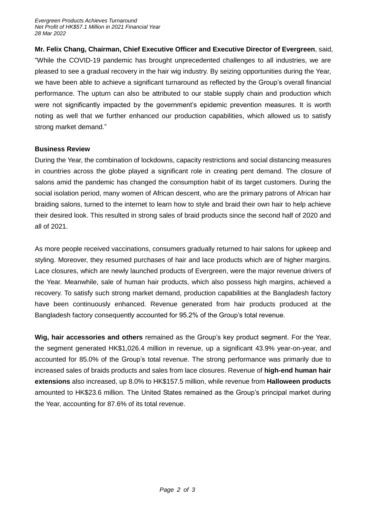**Mr. Felix Chang, Chairman, Chief Executive Officer and Executive Director of Evergreen**, said, "While the COVID-19 pandemic has brought unprecedented challenges to all industries, we are pleased to see a gradual recovery in the hair wig industry. By seizing opportunities during the Year, we have been able to achieve a significant turnaround as reflected by the Group's overall financial performance. The upturn can also be attributed to our stable supply chain and production which were not significantly impacted by the government's epidemic prevention measures. It is worth noting as well that we further enhanced our production capabilities, which allowed us to satisfy strong market demand."

## **Business Review**

During the Year, the combination of lockdowns, capacity restrictions and social distancing measures in countries across the globe played a significant role in creating pent demand. The closure of salons amid the pandemic has changed the consumption habit of its target customers. During the social isolation period, many women of African descent, who are the primary patrons of African hair braiding salons, turned to the internet to learn how to style and braid their own hair to help achieve their desired look. This resulted in strong sales of braid products since the second half of 2020 and all of 2021.

As more people received vaccinations, consumers gradually returned to hair salons for upkeep and styling. Moreover, they resumed purchases of hair and lace products which are of higher margins. Lace closures, which are newly launched products of Evergreen, were the major revenue drivers of the Year. Meanwhile, sale of human hair products, which also possess high margins, achieved a recovery. To satisfy such strong market demand, production capabilities at the Bangladesh factory have been continuously enhanced. Revenue generated from hair products produced at the Bangladesh factory consequently accounted for 95.2% of the Group's total revenue.

**Wig, hair accessories and others** remained as the Group's key product segment. For the Year, the segment generated HK\$1,026.4 million in revenue, up a significant 43.9% year-on-year, and accounted for 85.0% of the Group's total revenue. The strong performance was primarily due to increased sales of braids products and sales from lace closures. Revenue of **high-end human hair extensions** also increased, up 8.0% to HK\$157.5 million, while revenue from **Halloween products** amounted to HK\$23.6 million. The United States remained as the Group's principal market during the Year, accounting for 87.6% of its total revenue.